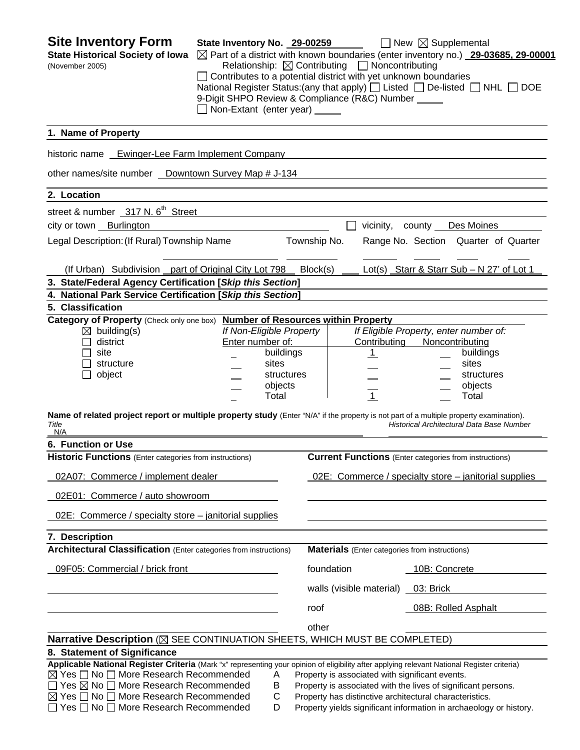| <b>Site Inventory Form</b><br><b>State Historical Society of Iowa</b><br>(November 2005)                                                                                                                                                                                                                                                                                                        | State Inventory No. 29-00259<br>9-Digit SHPO Review & Compliance (R&C) Number _____<br>Non-Extant (enter year) |                                    | Relationship: $\boxtimes$ Contributing $\Box$ Noncontributing<br>Contributes to a potential district with yet unknown boundaries | $\Box$ New $\boxtimes$ Supplemental<br>$\boxtimes$ Part of a district with known boundaries (enter inventory no.) 29-03685, 29-00001<br>National Register Status: (any that apply) $\Box$ Listed $\Box$ De-listed $\Box$ NHL $\Box$ DOE |  |
|-------------------------------------------------------------------------------------------------------------------------------------------------------------------------------------------------------------------------------------------------------------------------------------------------------------------------------------------------------------------------------------------------|----------------------------------------------------------------------------------------------------------------|------------------------------------|----------------------------------------------------------------------------------------------------------------------------------|-----------------------------------------------------------------------------------------------------------------------------------------------------------------------------------------------------------------------------------------|--|
| 1. Name of Property                                                                                                                                                                                                                                                                                                                                                                             |                                                                                                                |                                    |                                                                                                                                  |                                                                                                                                                                                                                                         |  |
| historic name Ewinger-Lee Farm Implement Company                                                                                                                                                                                                                                                                                                                                                |                                                                                                                |                                    |                                                                                                                                  |                                                                                                                                                                                                                                         |  |
| other names/site number _ Downtown Survey Map # J-134                                                                                                                                                                                                                                                                                                                                           |                                                                                                                |                                    |                                                                                                                                  |                                                                                                                                                                                                                                         |  |
| 2. Location                                                                                                                                                                                                                                                                                                                                                                                     |                                                                                                                |                                    |                                                                                                                                  |                                                                                                                                                                                                                                         |  |
| street & number _317 N. 6 <sup>th</sup> Street                                                                                                                                                                                                                                                                                                                                                  |                                                                                                                |                                    |                                                                                                                                  |                                                                                                                                                                                                                                         |  |
| city or town Burlington                                                                                                                                                                                                                                                                                                                                                                         |                                                                                                                |                                    | vicinity,                                                                                                                        | Des Moines<br>county                                                                                                                                                                                                                    |  |
| Legal Description: (If Rural) Township Name                                                                                                                                                                                                                                                                                                                                                     |                                                                                                                | Township No.                       |                                                                                                                                  | Range No. Section Quarter of Quarter                                                                                                                                                                                                    |  |
| (If Urban) Subdivision part of Original City Lot 798                                                                                                                                                                                                                                                                                                                                            |                                                                                                                | Block(s)                           |                                                                                                                                  | Lot(s) Starr & Starr Sub - N 27' of Lot 1                                                                                                                                                                                               |  |
| 3. State/Federal Agency Certification [Skip this Section]                                                                                                                                                                                                                                                                                                                                       |                                                                                                                |                                    |                                                                                                                                  |                                                                                                                                                                                                                                         |  |
| 4. National Park Service Certification [Skip this Section]                                                                                                                                                                                                                                                                                                                                      |                                                                                                                |                                    |                                                                                                                                  |                                                                                                                                                                                                                                         |  |
| 5. Classification<br>Category of Property (Check only one box)                                                                                                                                                                                                                                                                                                                                  |                                                                                                                |                                    | <b>Number of Resources within Property</b>                                                                                       |                                                                                                                                                                                                                                         |  |
| $\boxtimes$ building(s)<br>district<br>site<br>structure<br>object<br>$\blacksquare$                                                                                                                                                                                                                                                                                                            | If Non-Eligible Property<br>Enter number of:<br>sites<br>Total                                                 | buildings<br>structures<br>objects | Contributing<br>$\mathbf{1}$<br>$\overline{1}$                                                                                   | If Eligible Property, enter number of:<br>Noncontributing<br>buildings<br>sites<br>structures<br>objects<br>Total                                                                                                                       |  |
| Name of related project report or multiple property study (Enter "N/A" if the property is not part of a multiple property examination).<br>Title<br>N/A                                                                                                                                                                                                                                         |                                                                                                                |                                    |                                                                                                                                  | Historical Architectural Data Base Number                                                                                                                                                                                               |  |
| 6. Function or Use                                                                                                                                                                                                                                                                                                                                                                              |                                                                                                                |                                    |                                                                                                                                  |                                                                                                                                                                                                                                         |  |
| <b>Historic Functions</b> (Enter categories from instructions)                                                                                                                                                                                                                                                                                                                                  |                                                                                                                |                                    |                                                                                                                                  | <b>Current Functions</b> (Enter categories from instructions)                                                                                                                                                                           |  |
| 02A07: Commerce / implement dealer                                                                                                                                                                                                                                                                                                                                                              |                                                                                                                |                                    |                                                                                                                                  | 02E: Commerce / specialty store – janitorial supplies                                                                                                                                                                                   |  |
| 02E01: Commerce / auto showroom                                                                                                                                                                                                                                                                                                                                                                 |                                                                                                                |                                    |                                                                                                                                  |                                                                                                                                                                                                                                         |  |
| 02E: Commerce / specialty store – janitorial supplies                                                                                                                                                                                                                                                                                                                                           |                                                                                                                |                                    |                                                                                                                                  |                                                                                                                                                                                                                                         |  |
| 7. Description                                                                                                                                                                                                                                                                                                                                                                                  |                                                                                                                |                                    |                                                                                                                                  |                                                                                                                                                                                                                                         |  |
| <b>Architectural Classification</b> (Enter categories from instructions)                                                                                                                                                                                                                                                                                                                        |                                                                                                                |                                    | <b>Materials</b> (Enter categories from instructions)                                                                            |                                                                                                                                                                                                                                         |  |
| 09F05: Commercial / brick front                                                                                                                                                                                                                                                                                                                                                                 |                                                                                                                |                                    | foundation                                                                                                                       | 10B: Concrete                                                                                                                                                                                                                           |  |
|                                                                                                                                                                                                                                                                                                                                                                                                 |                                                                                                                |                                    | walls (visible material) 03: Brick                                                                                               |                                                                                                                                                                                                                                         |  |
|                                                                                                                                                                                                                                                                                                                                                                                                 |                                                                                                                | roof                               |                                                                                                                                  | 08B: Rolled Asphalt                                                                                                                                                                                                                     |  |
|                                                                                                                                                                                                                                                                                                                                                                                                 |                                                                                                                | other                              |                                                                                                                                  |                                                                                                                                                                                                                                         |  |
| Narrative Description (X) SEE CONTINUATION SHEETS, WHICH MUST BE COMPLETED)                                                                                                                                                                                                                                                                                                                     |                                                                                                                |                                    |                                                                                                                                  |                                                                                                                                                                                                                                         |  |
| 8. Statement of Significance                                                                                                                                                                                                                                                                                                                                                                    |                                                                                                                |                                    |                                                                                                                                  |                                                                                                                                                                                                                                         |  |
| Applicable National Register Criteria (Mark "x" representing your opinion of eligibility after applying relevant National Register criteria)<br>$\boxtimes$ Yes $\Box$ No $\Box$ More Research Recommended<br>$\Box$ Yes $\boxtimes$ No $\Box$ More Research Recommended<br>$\boxtimes$ Yes $\Box$ No $\Box$ More Research Recommended<br>$\Box$ Yes $\Box$ No $\Box$ More Research Recommended |                                                                                                                | A<br>B<br>C<br>D                   | Property is associated with significant events.                                                                                  | Property is associated with the lives of significant persons.<br>Property has distinctive architectural characteristics.<br>Property yields significant information in archaeology or history.                                          |  |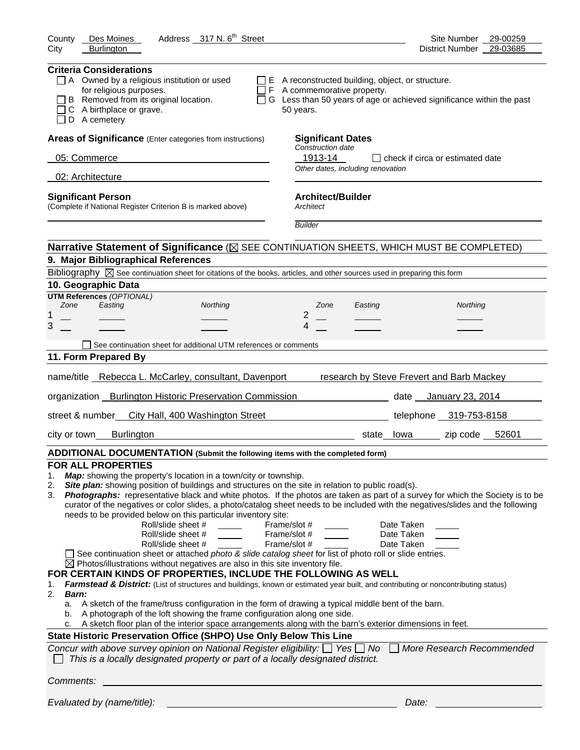| Address 317 N. 6 <sup>th</sup> Street<br>Des Moines<br>County                                                                                                                                                                                                                                                                                                                                                                                                                                                                                                                                                                                                                                                                                                                                                                                                                                                                                                                                                                                                                                                                                                                                                                                                                                                                                                                                                                                                                                                                                                                                                                                                                                                                              | Site Number<br>29-00259                   |
|--------------------------------------------------------------------------------------------------------------------------------------------------------------------------------------------------------------------------------------------------------------------------------------------------------------------------------------------------------------------------------------------------------------------------------------------------------------------------------------------------------------------------------------------------------------------------------------------------------------------------------------------------------------------------------------------------------------------------------------------------------------------------------------------------------------------------------------------------------------------------------------------------------------------------------------------------------------------------------------------------------------------------------------------------------------------------------------------------------------------------------------------------------------------------------------------------------------------------------------------------------------------------------------------------------------------------------------------------------------------------------------------------------------------------------------------------------------------------------------------------------------------------------------------------------------------------------------------------------------------------------------------------------------------------------------------------------------------------------------------|-------------------------------------------|
| <b>Burlington</b><br>City                                                                                                                                                                                                                                                                                                                                                                                                                                                                                                                                                                                                                                                                                                                                                                                                                                                                                                                                                                                                                                                                                                                                                                                                                                                                                                                                                                                                                                                                                                                                                                                                                                                                                                                  | 29-03685<br><b>District Number</b>        |
| <b>Criteria Considerations</b><br>$\Box$ A Owned by a religious institution or used<br>$\Box$ E A reconstructed building, object, or structure.<br>for religious purposes.<br>$\Box$ F A commemorative property.<br>B Removed from its original location.<br>$\Box$ G Less than 50 years of age or achieved significance within the past<br>C A birthplace or grave.<br>50 years.<br>D A cemetery                                                                                                                                                                                                                                                                                                                                                                                                                                                                                                                                                                                                                                                                                                                                                                                                                                                                                                                                                                                                                                                                                                                                                                                                                                                                                                                                          |                                           |
| Areas of Significance (Enter categories from instructions)<br><b>Significant Dates</b>                                                                                                                                                                                                                                                                                                                                                                                                                                                                                                                                                                                                                                                                                                                                                                                                                                                                                                                                                                                                                                                                                                                                                                                                                                                                                                                                                                                                                                                                                                                                                                                                                                                     |                                           |
| <b>Construction date</b><br>05: Commerce<br>1913-14                                                                                                                                                                                                                                                                                                                                                                                                                                                                                                                                                                                                                                                                                                                                                                                                                                                                                                                                                                                                                                                                                                                                                                                                                                                                                                                                                                                                                                                                                                                                                                                                                                                                                        | $\Box$ check if circa or estimated date   |
| Other dates, including renovation                                                                                                                                                                                                                                                                                                                                                                                                                                                                                                                                                                                                                                                                                                                                                                                                                                                                                                                                                                                                                                                                                                                                                                                                                                                                                                                                                                                                                                                                                                                                                                                                                                                                                                          |                                           |
| 02: Architecture                                                                                                                                                                                                                                                                                                                                                                                                                                                                                                                                                                                                                                                                                                                                                                                                                                                                                                                                                                                                                                                                                                                                                                                                                                                                                                                                                                                                                                                                                                                                                                                                                                                                                                                           |                                           |
| <b>Architect/Builder</b><br><b>Significant Person</b><br>(Complete if National Register Criterion B is marked above)<br>Architect                                                                                                                                                                                                                                                                                                                                                                                                                                                                                                                                                                                                                                                                                                                                                                                                                                                                                                                                                                                                                                                                                                                                                                                                                                                                                                                                                                                                                                                                                                                                                                                                          |                                           |
| <b>Builder</b>                                                                                                                                                                                                                                                                                                                                                                                                                                                                                                                                                                                                                                                                                                                                                                                                                                                                                                                                                                                                                                                                                                                                                                                                                                                                                                                                                                                                                                                                                                                                                                                                                                                                                                                             |                                           |
| Narrative Statement of Significance ( $\boxtimes$ SEE CONTINUATION SHEETS, WHICH MUST BE COMPLETED)                                                                                                                                                                                                                                                                                                                                                                                                                                                                                                                                                                                                                                                                                                                                                                                                                                                                                                                                                                                                                                                                                                                                                                                                                                                                                                                                                                                                                                                                                                                                                                                                                                        |                                           |
| 9. Major Bibliographical References                                                                                                                                                                                                                                                                                                                                                                                                                                                                                                                                                                                                                                                                                                                                                                                                                                                                                                                                                                                                                                                                                                                                                                                                                                                                                                                                                                                                                                                                                                                                                                                                                                                                                                        |                                           |
| Bibliography $\boxtimes$ See continuation sheet for citations of the books, articles, and other sources used in preparing this form                                                                                                                                                                                                                                                                                                                                                                                                                                                                                                                                                                                                                                                                                                                                                                                                                                                                                                                                                                                                                                                                                                                                                                                                                                                                                                                                                                                                                                                                                                                                                                                                        |                                           |
| 10. Geographic Data                                                                                                                                                                                                                                                                                                                                                                                                                                                                                                                                                                                                                                                                                                                                                                                                                                                                                                                                                                                                                                                                                                                                                                                                                                                                                                                                                                                                                                                                                                                                                                                                                                                                                                                        |                                           |
| <b>UTM References (OPTIONAL)</b><br>Zone<br>Easting<br>Northing<br>Zone<br>Easting                                                                                                                                                                                                                                                                                                                                                                                                                                                                                                                                                                                                                                                                                                                                                                                                                                                                                                                                                                                                                                                                                                                                                                                                                                                                                                                                                                                                                                                                                                                                                                                                                                                         | Northing                                  |
| 2<br>1                                                                                                                                                                                                                                                                                                                                                                                                                                                                                                                                                                                                                                                                                                                                                                                                                                                                                                                                                                                                                                                                                                                                                                                                                                                                                                                                                                                                                                                                                                                                                                                                                                                                                                                                     |                                           |
| 3<br>4                                                                                                                                                                                                                                                                                                                                                                                                                                                                                                                                                                                                                                                                                                                                                                                                                                                                                                                                                                                                                                                                                                                                                                                                                                                                                                                                                                                                                                                                                                                                                                                                                                                                                                                                     |                                           |
| See continuation sheet for additional UTM references or comments                                                                                                                                                                                                                                                                                                                                                                                                                                                                                                                                                                                                                                                                                                                                                                                                                                                                                                                                                                                                                                                                                                                                                                                                                                                                                                                                                                                                                                                                                                                                                                                                                                                                           |                                           |
| 11. Form Prepared By                                                                                                                                                                                                                                                                                                                                                                                                                                                                                                                                                                                                                                                                                                                                                                                                                                                                                                                                                                                                                                                                                                                                                                                                                                                                                                                                                                                                                                                                                                                                                                                                                                                                                                                       |                                           |
| name/title Rebecca L. McCarley, consultant, Davenport                                                                                                                                                                                                                                                                                                                                                                                                                                                                                                                                                                                                                                                                                                                                                                                                                                                                                                                                                                                                                                                                                                                                                                                                                                                                                                                                                                                                                                                                                                                                                                                                                                                                                      | research by Steve Frevert and Barb Mackey |
| organization _ Burlington Historic Preservation Commission                                                                                                                                                                                                                                                                                                                                                                                                                                                                                                                                                                                                                                                                                                                                                                                                                                                                                                                                                                                                                                                                                                                                                                                                                                                                                                                                                                                                                                                                                                                                                                                                                                                                                 | date __ January 23, 2014                  |
| street & number City Hall, 400 Washington Street                                                                                                                                                                                                                                                                                                                                                                                                                                                                                                                                                                                                                                                                                                                                                                                                                                                                                                                                                                                                                                                                                                                                                                                                                                                                                                                                                                                                                                                                                                                                                                                                                                                                                           | telephone 319-753-8158                    |
| <b>Burlington</b><br>city or town<br>state lowa                                                                                                                                                                                                                                                                                                                                                                                                                                                                                                                                                                                                                                                                                                                                                                                                                                                                                                                                                                                                                                                                                                                                                                                                                                                                                                                                                                                                                                                                                                                                                                                                                                                                                            | zip code $52601$                          |
| ADDITIONAL DOCUMENTATION (Submit the following items with the completed form)                                                                                                                                                                                                                                                                                                                                                                                                                                                                                                                                                                                                                                                                                                                                                                                                                                                                                                                                                                                                                                                                                                                                                                                                                                                                                                                                                                                                                                                                                                                                                                                                                                                              |                                           |
| <b>FOR ALL PROPERTIES</b><br>Map: showing the property's location in a town/city or township.<br>1.<br>Site plan: showing position of buildings and structures on the site in relation to public road(s).<br>2.<br>Photographs: representative black and white photos. If the photos are taken as part of a survey for which the Society is to be<br>3.<br>curator of the negatives or color slides, a photo/catalog sheet needs to be included with the negatives/slides and the following<br>needs to be provided below on this particular inventory site:<br>Roll/slide sheet #<br>Date Taken<br>Frame/slot #<br>Roll/slide sheet #<br>Frame/slot #<br>Date Taken<br>Roll/slide sheet #<br>Frame/slot #<br>Date Taken<br>See continuation sheet or attached photo & slide catalog sheet for list of photo roll or slide entries.<br>$\boxtimes$ Photos/illustrations without negatives are also in this site inventory file.<br>FOR CERTAIN KINDS OF PROPERTIES, INCLUDE THE FOLLOWING AS WELL<br>Farmstead & District: (List of structures and buildings, known or estimated year built, and contributing or noncontributing status)<br>1.<br>2.<br>Barn:<br>A sketch of the frame/truss configuration in the form of drawing a typical middle bent of the barn.<br>а.<br>A photograph of the loft showing the frame configuration along one side.<br>b.<br>A sketch floor plan of the interior space arrangements along with the barn's exterior dimensions in feet.<br>State Historic Preservation Office (SHPO) Use Only Below This Line<br>Concur with above survey opinion on National Register eligibility: $\Box$ Yes $\Box$ No<br>This is a locally designated property or part of a locally designated district.<br>Comments: | More Research Recommended                 |
|                                                                                                                                                                                                                                                                                                                                                                                                                                                                                                                                                                                                                                                                                                                                                                                                                                                                                                                                                                                                                                                                                                                                                                                                                                                                                                                                                                                                                                                                                                                                                                                                                                                                                                                                            |                                           |
| Evaluated by (name/title):                                                                                                                                                                                                                                                                                                                                                                                                                                                                                                                                                                                                                                                                                                                                                                                                                                                                                                                                                                                                                                                                                                                                                                                                                                                                                                                                                                                                                                                                                                                                                                                                                                                                                                                 | Date:                                     |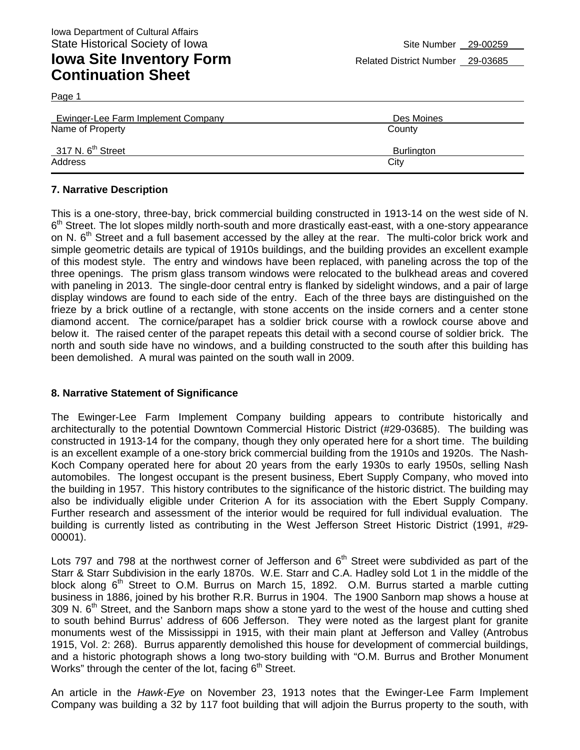Page 1 Ewinger-Lee Farm Implement Company Des Moines Name of Property **County** County County County County 317 N. 6<sup>th</sup> Street Burlington Address City **City Address** 

#### **7. Narrative Description**

This is a one-story, three-bay, brick commercial building constructed in 1913-14 on the west side of N.  $6<sup>th</sup>$  Street. The lot slopes mildly north-south and more drastically east-east, with a one-story appearance on N. 6<sup>th</sup> Street and a full basement accessed by the alley at the rear. The multi-color brick work and simple geometric details are typical of 1910s buildings, and the building provides an excellent example of this modest style. The entry and windows have been replaced, with paneling across the top of the three openings. The prism glass transom windows were relocated to the bulkhead areas and covered with paneling in 2013. The single-door central entry is flanked by sidelight windows, and a pair of large display windows are found to each side of the entry. Each of the three bays are distinguished on the frieze by a brick outline of a rectangle, with stone accents on the inside corners and a center stone diamond accent. The cornice/parapet has a soldier brick course with a rowlock course above and below it. The raised center of the parapet repeats this detail with a second course of soldier brick. The north and south side have no windows, and a building constructed to the south after this building has been demolished. A mural was painted on the south wall in 2009.

#### **8. Narrative Statement of Significance**

The Ewinger-Lee Farm Implement Company building appears to contribute historically and architecturally to the potential Downtown Commercial Historic District (#29-03685). The building was constructed in 1913-14 for the company, though they only operated here for a short time. The building is an excellent example of a one-story brick commercial building from the 1910s and 1920s. The Nash-Koch Company operated here for about 20 years from the early 1930s to early 1950s, selling Nash automobiles. The longest occupant is the present business, Ebert Supply Company, who moved into the building in 1957. This history contributes to the significance of the historic district. The building may also be individually eligible under Criterion A for its association with the Ebert Supply Company. Further research and assessment of the interior would be required for full individual evaluation. The building is currently listed as contributing in the West Jefferson Street Historic District (1991, #29- 00001).

Lots 797 and 798 at the northwest corner of Jefferson and  $6<sup>th</sup>$  Street were subdivided as part of the Starr & Starr Subdivision in the early 1870s. W.E. Starr and C.A. Hadley sold Lot 1 in the middle of the block along 6<sup>th</sup> Street to O.M. Burrus on March 15, 1892. O.M. Burrus started a marble cutting business in 1886, joined by his brother R.R. Burrus in 1904. The 1900 Sanborn map shows a house at 309 N.  $6<sup>th</sup>$  Street, and the Sanborn maps show a stone yard to the west of the house and cutting shed to south behind Burrus' address of 606 Jefferson. They were noted as the largest plant for granite monuments west of the Mississippi in 1915, with their main plant at Jefferson and Valley (Antrobus 1915, Vol. 2: 268). Burrus apparently demolished this house for development of commercial buildings, and a historic photograph shows a long two-story building with "O.M. Burrus and Brother Monument Works" through the center of the lot, facing  $6<sup>th</sup>$  Street.

An article in the *Hawk-Eye* on November 23, 1913 notes that the Ewinger-Lee Farm Implement Company was building a 32 by 117 foot building that will adjoin the Burrus property to the south, with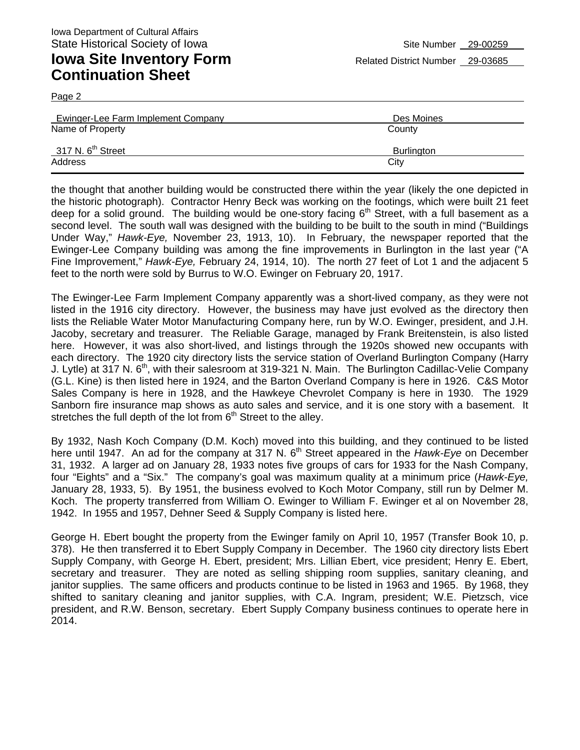Page 2

| Ewinger-Lee Farm Implement Company | Des Moines |
|------------------------------------|------------|
| Name of Property                   | County     |
| 317 N. 6 <sup>th</sup> Street      | Burlington |
| Address                            | City       |

the thought that another building would be constructed there within the year (likely the one depicted in the historic photograph). Contractor Henry Beck was working on the footings, which were built 21 feet deep for a solid ground. The building would be one-story facing  $6<sup>th</sup>$  Street, with a full basement as a second level. The south wall was designed with the building to be built to the south in mind ("Buildings Under Way," *Hawk-Eye,* November 23, 1913, 10). In February, the newspaper reported that the Ewinger-Lee Company building was among the fine improvements in Burlington in the last year ("A Fine Improvement," *Hawk-Eye,* February 24, 1914, 10). The north 27 feet of Lot 1 and the adjacent 5 feet to the north were sold by Burrus to W.O. Ewinger on February 20, 1917.

The Ewinger-Lee Farm Implement Company apparently was a short-lived company, as they were not listed in the 1916 city directory. However, the business may have just evolved as the directory then lists the Reliable Water Motor Manufacturing Company here, run by W.O. Ewinger, president, and J.H. Jacoby, secretary and treasurer. The Reliable Garage, managed by Frank Breitenstein, is also listed here. However, it was also short-lived, and listings through the 1920s showed new occupants with each directory. The 1920 city directory lists the service station of Overland Burlington Company (Harry J. Lytle) at 317 N. 6<sup>th</sup>, with their salesroom at 319-321 N. Main. The Burlington Cadillac-Velie Company (G.L. Kine) is then listed here in 1924, and the Barton Overland Company is here in 1926. C&S Motor Sales Company is here in 1928, and the Hawkeye Chevrolet Company is here in 1930. The 1929 Sanborn fire insurance map shows as auto sales and service, and it is one story with a basement. It stretches the full depth of the lot from  $6<sup>th</sup>$  Street to the alley.

By 1932, Nash Koch Company (D.M. Koch) moved into this building, and they continued to be listed here until 1947. An ad for the company at 317 N. 6<sup>th</sup> Street appeared in the *Hawk-Eye* on December 31, 1932. A larger ad on January 28, 1933 notes five groups of cars for 1933 for the Nash Company, four "Eights" and a "Six." The company's goal was maximum quality at a minimum price (*Hawk-Eye,*  January 28, 1933, 5). By 1951, the business evolved to Koch Motor Company, still run by Delmer M. Koch. The property transferred from William O. Ewinger to William F. Ewinger et al on November 28, 1942. In 1955 and 1957, Dehner Seed & Supply Company is listed here.

George H. Ebert bought the property from the Ewinger family on April 10, 1957 (Transfer Book 10, p. 378). He then transferred it to Ebert Supply Company in December. The 1960 city directory lists Ebert Supply Company, with George H. Ebert, president; Mrs. Lillian Ebert, vice president; Henry E. Ebert, secretary and treasurer. They are noted as selling shipping room supplies, sanitary cleaning, and janitor supplies. The same officers and products continue to be listed in 1963 and 1965. By 1968, they shifted to sanitary cleaning and janitor supplies, with C.A. Ingram, president; W.E. Pietzsch, vice president, and R.W. Benson, secretary. Ebert Supply Company business continues to operate here in 2014.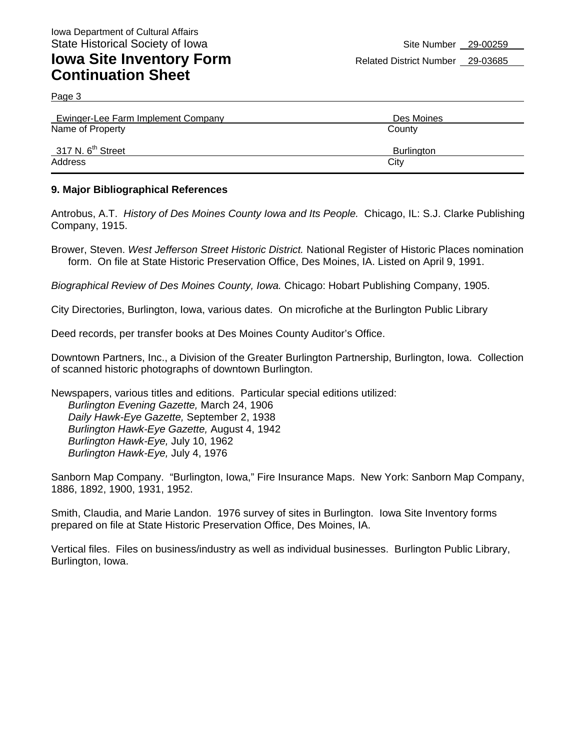Page 3

| Ewinger-Lee Farm Implement Company | Des Moines        |
|------------------------------------|-------------------|
| Name of Property                   | County            |
| 317 N. $6th$ Street                | <b>Burlington</b> |
| Address                            | City              |

#### **9. Major Bibliographical References**

Antrobus, A.T. *History of Des Moines County Iowa and Its People.* Chicago, IL: S.J. Clarke Publishing Company, 1915.

Brower, Steven. *West Jefferson Street Historic District.* National Register of Historic Places nomination form. On file at State Historic Preservation Office, Des Moines, IA. Listed on April 9, 1991.

*Biographical Review of Des Moines County, Iowa.* Chicago: Hobart Publishing Company, 1905.

City Directories, Burlington, Iowa, various dates. On microfiche at the Burlington Public Library

Deed records, per transfer books at Des Moines County Auditor's Office.

Downtown Partners, Inc., a Division of the Greater Burlington Partnership, Burlington, Iowa. Collection of scanned historic photographs of downtown Burlington.

Newspapers, various titles and editions. Particular special editions utilized: *Burlington Evening Gazette,* March 24, 1906 *Daily Hawk-Eye Gazette,* September 2, 1938 *Burlington Hawk-Eye Gazette,* August 4, 1942 *Burlington Hawk-Eye,* July 10, 1962 *Burlington Hawk-Eye,* July 4, 1976

Sanborn Map Company. "Burlington, Iowa," Fire Insurance Maps. New York: Sanborn Map Company, 1886, 1892, 1900, 1931, 1952.

Smith, Claudia, and Marie Landon. 1976 survey of sites in Burlington. Iowa Site Inventory forms prepared on file at State Historic Preservation Office, Des Moines, IA.

Vertical files. Files on business/industry as well as individual businesses. Burlington Public Library, Burlington, Iowa.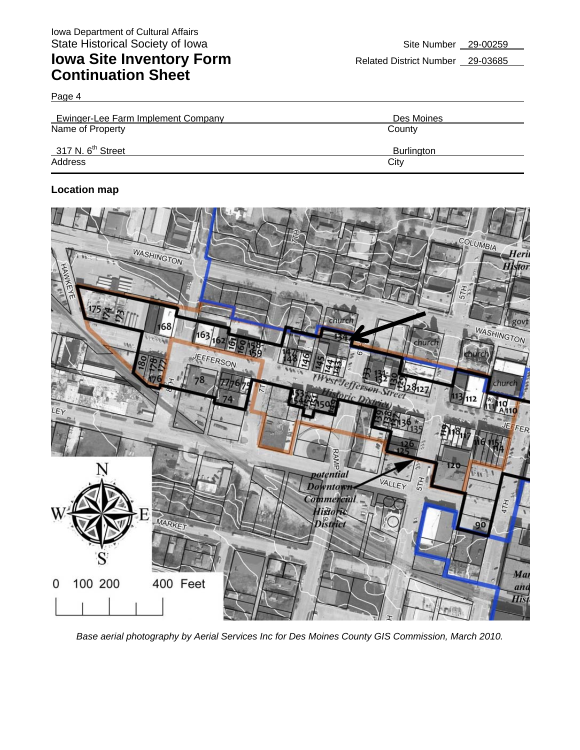Page 4

| Ewinger-Lee Farm Implement Company | Des Moines        |
|------------------------------------|-------------------|
| Name of Property                   | County            |
| 317 N. 6 <sup>th</sup> Street      | <b>Burlington</b> |
| Address                            | City              |

#### **Location map**



*Base aerial photography by Aerial Services Inc for Des Moines County GIS Commission, March 2010.*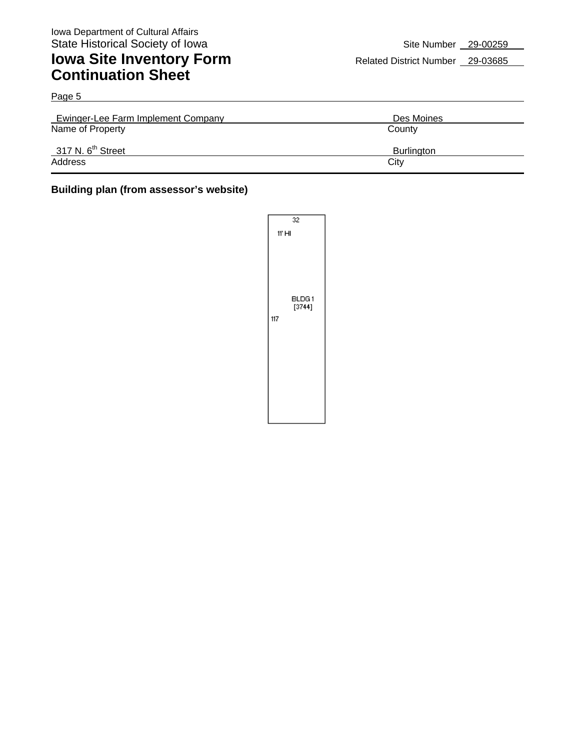| Page 5                             |            |  |
|------------------------------------|------------|--|
| Ewinger-Lee Farm Implement Company | Des Moines |  |
| Name of Property                   | County     |  |
| 317 N. $6th$ Street                | Burlington |  |
| Address                            | City       |  |

#### **Building plan (from assessor's website)**

| 32                     |  |  |
|------------------------|--|--|
| 11' HI                 |  |  |
| BLDG1<br>[3744]<br>117 |  |  |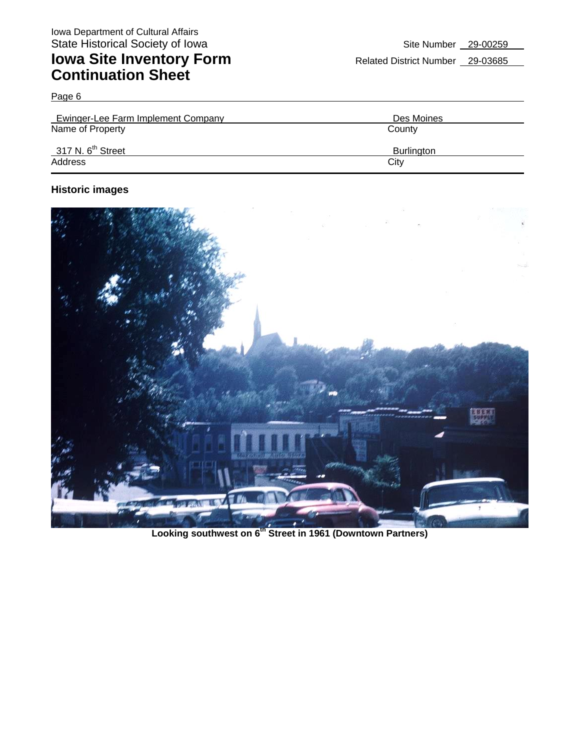Page 6

| <b>Ewinger-Lee Farm Implement Company</b> | Des Moines        |
|-------------------------------------------|-------------------|
| Name of Property                          | County            |
| 317 N. $6th$ Street                       | <b>Burlington</b> |
| Address                                   | City              |

#### **Historic images**



**Looking southwest on 6th Street in 1961 (Downtown Partners)**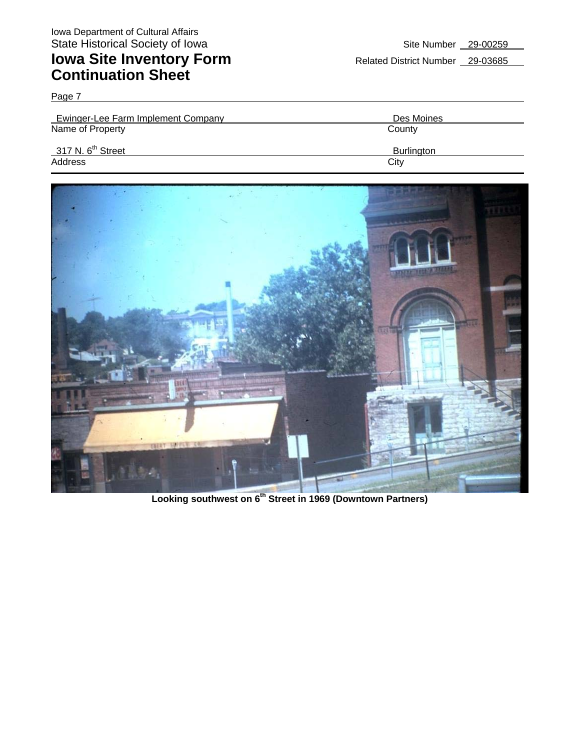Page 7

| Ewinger-Lee Farm Implement Company | Des Moines        |
|------------------------------------|-------------------|
| Name of Property                   | County            |
| 317 N. $6^{th}$ Street             | <b>Burlington</b> |
| Address                            | City              |



**Looking southwest on 6th Street in 1969 (Downtown Partners)**